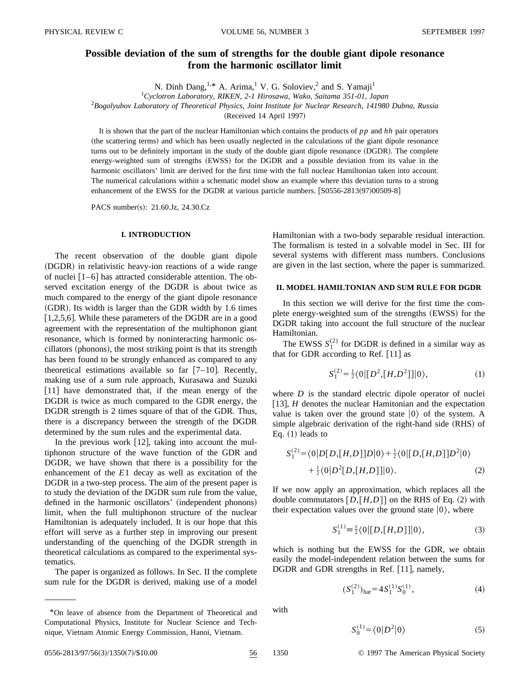# **Possible deviation of the sum of strengths for the double giant dipole resonance from the harmonic oscillator limit**

N. Dinh Dang,  $1, * A$ . Arima, <sup>1</sup> V. G. Soloviev, <sup>2</sup> and S. Yamaji<sup>1</sup>

1 *Cyclotron Laboratory, RIKEN, 2-1 Hirosawa, Wako, Saitama 351-01, Japan*

2 *Bogolyubov Laboratory of Theoretical Physics, Joint Institute for Nuclear Research, 141980 Dubna, Russia*

(Received 14 April 1997)

It is shown that the part of the nuclear Hamiltonian which contains the products of *pp* and *hh* pair operators (the scattering terms) and which has been usually neglected in the calculations of the giant dipole resonance turns out to be definitely important in the study of the double giant dipole resonance (DGDR). The complete energy-weighted sum of strengths (EWSS) for the DGDR and a possible deviation from its value in the harmonic oscillators' limit are derived for the first time with the full nuclear Hamiltonian taken into account. The numerical calculations within a schematic model show an example where this deviation turns to a strong enhancement of the EWSS for the DGDR at various particle numbers.  $[$ S0556-2813(97)00509-8 $]$ 

PACS number(s):  $21.60 \text{.Jz}$ ,  $24.30 \text{.Cz}$ 

#### **I. INTRODUCTION**

The recent observation of the double giant dipole (DGDR) in relativistic heavy-ion reactions of a wide range of nuclei  $[1-6]$  has attracted considerable attention. The observed excitation energy of the DGDR is about twice as much compared to the energy of the giant dipole resonance  $(GDR)$ . Its width is larger than the GDR width by 1.6 times  $[1,2,5,6]$ . While these parameters of the DGDR are in a good agreement with the representation of the multiphonon giant resonance, which is formed by noninteracting harmonic oscillators (phonons), the most striking point is that its strength has been found to be strongly enhanced as compared to any theoretical estimations available so far  $[7-10]$ . Recently, making use of a sum rule approach, Kurasawa and Suzuki  $[11]$  have demonstrated that, if the mean energy of the DGDR is twice as much compared to the GDR energy, the DGDR strength is 2 times square of that of the GDR. Thus, there is a discrepancy between the strength of the DGDR determined by the sum rules and the experimental data.

In the previous work  $[12]$ , taking into account the multiphonon structure of the wave function of the GDR and DGDR, we have shown that there is a possibility for the enhancement of the *E*1 decay as well as excitation of the DGDR in a two-step process. The aim of the present paper is to study the deviation of the DGDR sum rule from the value, defined in the harmonic oscillators' (independent phonons) limit, when the full multiphonon structure of the nuclear Hamiltonian is adequately included. It is our hope that this effort will serve as a further step in improving our present understanding of the quenching of the DGDR strength in theoretical calculations as compared to the experimental systematics.

The paper is organized as follows. In Sec. II the complete sum rule for the DGDR is derived, making use of a model Hamiltonian with a two-body separable residual interaction. The formalism is tested in a solvable model in Sec. III for several systems with different mass numbers. Conclusions are given in the last section, where the paper is summarized.

## **II. MODEL HAMILTONIAN AND SUM RULE FOR DGDR**

In this section we will derive for the first time the complete energy-weighted sum of the strengths (EWSS) for the DGDR taking into account the full structure of the nuclear Hamiltonian.

The EWSS  $S_1^{(2)}$  for DGDR is defined in a similar way as that for GDR according to Ref.  $[11]$  as

$$
S_1^{(2)} = \frac{1}{2} \langle 0 | [D^2, [H, D^2]] | 0 \rangle, \tag{1}
$$

where *D* is the standard electric dipole operator of nuclei [13],  $H$  denotes the nuclear Hamitonian and the expectation value is taken over the ground state  $|0\rangle$  of the system. A simple algebraic derivation of the right-hand side (RHS) of Eq.  $(1)$  leads to

$$
S_1^{(2)} = \langle 0|D[D,[H,D]]D|0\rangle + \frac{1}{2}\langle 0|[D,[H,D]]D^2|0\rangle + \frac{1}{2}\langle 0|D^2[D,[H,D]]|0\rangle.
$$
 (2)

If we now apply an approximation, which replaces all the double commutators  $[D,[H,D]]$  on the RHS of Eq. (2) with their expectation values over the ground state  $|0\rangle$ , where

$$
S_1^{(1)} \equiv \frac{1}{2} \langle 0 | [D, [H, D]] | 0 \rangle, \tag{3}
$$

which is nothing but the EWSS for the GDR, we obtain easily the model-independent relation between the sums for DGDR and GDR strengths in Ref. [11], namely,

$$
(S_1^{(2)})har = 4S_1^{(1)}S_0^{(1)},
$$
\n(4)

with

$$
S_0^{(1)} = \langle 0 | D^2 | 0 \rangle \tag{5}
$$

<sup>\*</sup>On leave of absence from the Department of Theoretical and Computational Physics, Institute for Nuclear Science and Technique, Vietnam Atomic Energy Commission, Hanoi, Vietnam.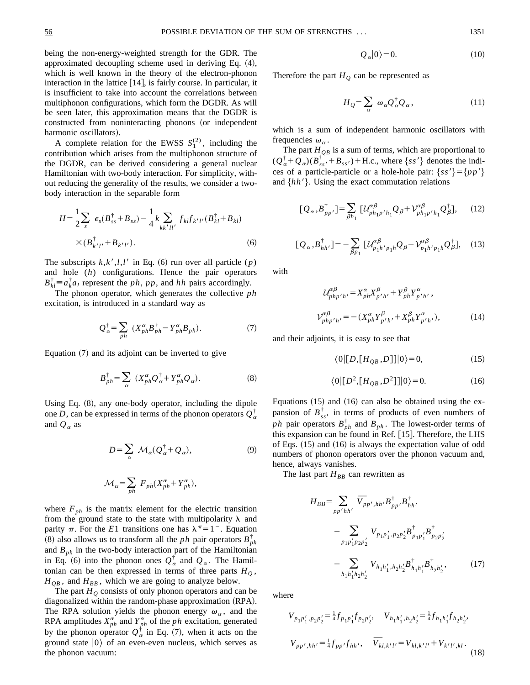being the non-energy-weighted strength for the GDR. The approximated decoupling scheme used in deriving Eq.  $(4)$ , which is well known in the theory of the electron-phonon interaction in the lattice  $[14]$ , is fairly course. In particular, it is insufficient to take into account the correlations between multiphonon configurations, which form the DGDR. As will be seen later, this approximation means that the DGDR is constructed from noninteracting phonons (or independent harmonic oscillators).

A complete relation for the EWSS  $S_1^{(2)}$ , including the contribution which arises from the multiphonon structure of the DGDR, can be derived considering a general nuclear Hamiltonian with two-body interaction. For simplicity, without reducing the generality of the results, we consider a twobody interaction in the separable form

$$
H = \frac{1}{2} \sum_{s} \epsilon_{s} (B_{ss}^{\dagger} + B_{ss}) - \frac{1}{4} k \sum_{k \nmid l'} f_{kl} f_{k'l'} (B_{kl}^{\dagger} + B_{kl})
$$
  
 
$$
\times (B_{k'l'}^{\dagger} + B_{k'l'}).
$$
 (6)

The subscripts  $k, k', l, l'$  in Eq. (6) run over all particle (*p*) and hole (*h*) configurations. Hence the pair operators  $B_{kl}^{\dagger} = a_k^{\dagger} a_l$  represent the *ph*, *pp*, and *hh* pairs accordingly.

The phonon operator, which generates the collective *ph* excitation, is introduced in a standard way as

$$
Q_{\alpha}^{\dagger} = \sum_{ph} \left( X_{ph}^{\alpha} B_{ph}^{\dagger} - Y_{ph}^{\alpha} B_{ph} \right). \tag{7}
$$

Equation  $(7)$  and its adjoint can be inverted to give

$$
B_{ph}^{\dagger} = \sum_{\alpha} (X_{ph}^{\alpha} Q_{\alpha}^{\dagger} + Y_{ph}^{\alpha} Q_{\alpha}).
$$
 (8)

Using Eq.  $(8)$ , any one-body operator, including the dipole one *D*, can be expressed in terms of the phonon operators  $Q_{\alpha}^{\dagger}$ and  $Q_{\alpha}$  as

$$
D = \sum_{\alpha} \mathcal{M}_{\alpha} (Q_{\alpha}^{\dagger} + Q_{\alpha}), \tag{9}
$$

$$
\mathcal{M}_{\alpha} = \sum_{ph} F_{ph}(X_{ph}^{\alpha} + Y_{ph}^{\alpha}),
$$

where  $F_{ph}$  is the matrix element for the electric transition from the ground state to the state with multipolarity  $\lambda$  and parity  $\pi$ . For the *E*1 transitions one has  $\lambda^{\pi}=1^{-}$ . Equation (8) also allows us to transform all the *ph* pair operators  $B_{ph}^{\dagger}$ and  $B_{ph}$  in the two-body interaction part of the Hamiltonian in Eq. (6) into the phonon ones  $Q_{\alpha}^{\dagger}$  and  $Q_{\alpha}$ . The Hamiltonian can be then expressed in terms of three parts  $H<sub>O</sub>$ ,  $H_{QB}$ , and  $H_{BB}$ , which we are going to analyze below.

The part  $H<sub>O</sub>$  consists of only phonon operators and can be diagonalized within the random-phase approximation (RPA). The RPA solution yields the phonon energy  $\omega_{\alpha}$ , and the RPA amplitudes  $X_{ph}^{\alpha}$  and  $Y_{ph}^{\alpha}$  of the *ph* excitation, generated by the phonon operator  $Q_{\alpha}^{\dagger}$  in Eq. (7), when it acts on the ground state  $|0\rangle$  of an even-even nucleus, which serves as the phonon vacuum:

$$
Q_{\alpha}|0\rangle = 0.\tag{10}
$$

Therefore the part  $H<sub>O</sub>$  can be represented as

$$
H_{Q} = \sum_{\alpha} \omega_{\alpha} Q_{\alpha}^{\dagger} Q_{\alpha}, \qquad (11)
$$

which is a sum of independent harmonic oscillators with frequencies  $\omega_{\alpha}$ .

The part  $H_{QB}$  is a sum of terms, which are proportional to  $(Q_{\alpha}^{\dagger} + Q_{\alpha})(B_{ss'}^{\dagger} + B_{ss'})$  + H.c., where {ss'} denotes the indices of a particle-particle or a hole-hole pair:  $\{ss'\} = \{pp'\}$ and  $\{hh'\}$ . Using the exact commutation relations

$$
[Q_{\alpha}, B_{pp'}^{\dagger}] = \sum_{\beta h_1} [U_{ph_1p'h_1}^{\alpha\beta} Q_{\beta} + V_{ph_1p'h_1}^{\alpha\beta} Q_{\beta}^{\dagger}], \quad (12)
$$

$$
[Q_{\alpha}, B_{hh'}^{\dagger}] = -\sum_{\beta p_1} \left[ \mathcal{U}_{p_1 h' p_1 h}^{\alpha \beta} Q_{\beta} + \mathcal{V}_{p_1 h' p_1 h}^{\alpha \beta} Q_{\beta}^{\dagger} \right], \quad (13)
$$

with

$$
\mathcal{U}^{\alpha\beta}_{php'h'} = X^{\alpha}_{ph} X^{\beta}_{p'h'} + Y^{\beta}_{ph} Y^{\alpha}_{p'h'},
$$
  

$$
\mathcal{V}^{\alpha\beta}_{php'h'} = -(X^{\alpha}_{ph} Y^{\beta}_{p'h'} + X^{\beta}_{ph} Y^{\alpha}_{p'h'}),
$$
 (14)

and their adjoints, it is easy to see that

$$
\langle 0|[D,[H_{QB},D]]|0\rangle=0,\qquad(15)
$$

$$
\langle 0 | [D^2, [H_{QB}, D^2]] | 0 \rangle = 0. \tag{16}
$$

Equations  $(15)$  and  $(16)$  can also be obtained using the expansion of  $B_{ss}^{\dagger}$ , in terms of products of even numbers of  $ph$  pair operators  $B_{ph}^{\dagger}$  and  $B_{ph}$ . The lowest-order terms of this expansion can be found in Ref.  $[15]$ . Therefore, the LHS of Eqs.  $(15)$  and  $(16)$  is always the expectation value of odd numbers of phonon operators over the phonon vacuum and, hence, always vanishes.

The last part  $H_{BB}$  can rewritten as

$$
H_{BB} = \sum_{pp'hh'} \overline{V}_{pp',hh'} B_{pp'}^{\dagger} B_{hh'}^{\dagger} + \sum_{p_1p'_1p_2p'_2} V_{p_1p'_1,p_2p'_2} B_{p_1p'_1}^{\dagger} B_{p_2p'_2}^{\dagger} + \sum_{h_1h'_1h_2h'_2} V_{h_1h'_1,h_2h'_2} B_{h_1h'_1}^{\dagger} B_{h_2h'_2}^{\dagger},
$$
 (17)

where

$$
V_{p_1p'_1, p_2p'_2} = \frac{1}{4} f_{p_1p'_1} f_{p_2p'_2}, \quad V_{h_1h'_1, h_2h'_2} = \frac{1}{4} f_{h_1h'_1} f_{h_2h'_2},
$$
  

$$
V_{pp', hh'} = \frac{1}{4} f_{pp'} f_{hh'}, \quad \overline{V}_{kl,k'l'} = V_{kl,k'l'} + V_{k'l',kl}.
$$
 (18)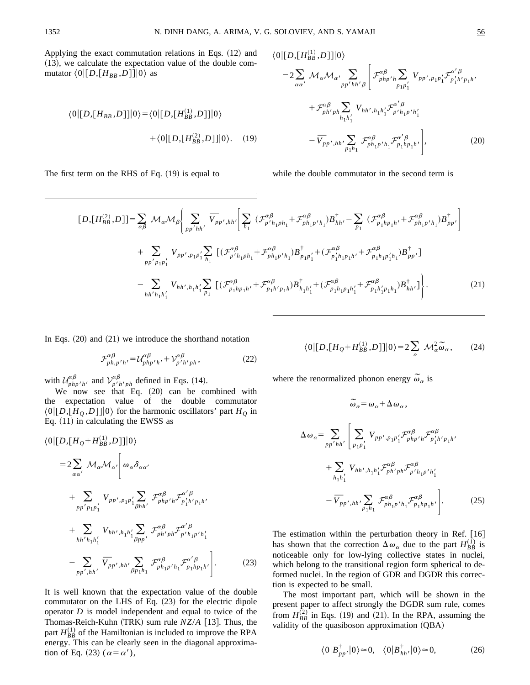Applying the exact commutation relations in Eqs.  $(12)$  and  $(13)$ , we calculate the expectation value of the double commutator  $\langle 0|[D,[H_{BB}, D]]|0 \rangle$  as

$$
\langle 0|[D,[H_{BB},D]]|0\rangle = \langle 0|[D,[H_{BB}^{(1)},D]]|0\rangle
$$

$$
+ \langle 0|[D,[H_{BB}^{(2)},D]]|0\rangle. \quad (19)
$$

$$
\langle 0|[D,[H_{BB}^{(1)}, D]]|0\rangle
$$
  
\n
$$
=2\sum_{\alpha\alpha'}\mathcal{M}_{\alpha'}\sum_{pp'hh' \beta}\left[\mathcal{F}_{php'h}^{\alpha\beta}\sum_{p_1p'_1}V_{pp',p_1p'_1}\mathcal{F}_{p'_1h'p_1h'}^{\alpha'\beta'}\right]
$$
  
\n
$$
+\mathcal{F}_{ph'ph}^{\alpha\beta}\sum_{h_1h'_1}V_{hh',h_1h'_1}\mathcal{F}_{p'h_1p'h'_1}^{\alpha'\beta}
$$
  
\n
$$
-\overline{V}_{pp',hh'}\sum_{p_1h_1}\mathcal{F}_{ph_1p'h_1}^{\alpha\beta}\mathcal{F}_{p_1h_1h'_1}^{\alpha'\beta}\left.\right],
$$
\n(20)

The first term on the RHS of Eq.  $(19)$  is equal to

while the double commutator in the second term is

$$
[D,[H_{BB}^{(2)},D]] = \sum_{\alpha\beta} \mathcal{M}_{\alpha} \mathcal{M}_{\beta} \Bigg\{ \sum_{pp'hh'} \overline{V}_{pp',hh'} \Bigg[ \sum_{h_1} (\mathcal{F}_{p'h_1ph_1}^{\alpha\beta} + \mathcal{F}_{ph_1p'h_1}^{\alpha\beta}) B_{hh'}^{\dagger} - \sum_{p_1} (\mathcal{F}_{p_1hp_1h'}^{\alpha\beta} + \mathcal{F}_{ph_1p'h_1}^{\alpha\beta}) B_{pp'}^{\dagger} \Bigg] + \sum_{pp'p_1p'_1} V_{pp',p_1p'_1} \sum_{h_1} [(\mathcal{F}_{p'h_1ph_1}^{\alpha\beta} + \mathcal{F}_{ph_1p'h_1}^{\alpha\beta}) B_{p_1p'_1}^{\dagger} + (\mathcal{F}_{p'h_1p'h_1}^{\alpha\beta} + \mathcal{F}_{p+h_1p'h_1}^{\alpha\beta}) B_{pp'}^{\dagger} ] - \sum_{hh'h_1h_1h_1'} V_{hh',h_1h_1'} \sum_{p_1} [(\mathcal{F}_{p_1hp_1h'}^{\alpha\beta} + \mathcal{F}_{p_1h'p_1h}^{\alpha\beta}) B_{h_1h_1'}^{\dagger} + (\mathcal{F}_{p_1h_1p_1h_1'}^{\alpha\beta} + \mathcal{F}_{p_1h'p_1h_1}^{\alpha\beta}) B_{hh'}^{\dagger} ] \Bigg\}.
$$
 (21)

In Eqs.  $(20)$  and  $(21)$  we introduce the shorthand notation

$$
\mathcal{F}_{ph,p'h'}^{\alpha\beta} = \mathcal{U}_{php'h'}^{\alpha\beta} + \mathcal{V}_{p'h'ph}^{\alpha\beta},\tag{22}
$$

with  $\mathcal{U}_{php'h}^{\alpha\beta}$  and  $\mathcal{V}_{p'h'ph}^{\alpha\beta}$  defined in Eqs. (14).

We now see that Eq.  $(20)$  can be combined with the expectation value of the double commutator  $\langle 0|[D,[H_O,D]]|0\rangle$  for the harmonic oscillators' part *H*<sub>Q</sub> in Eq.  $(11)$  in calculating the EWSS as

$$
\langle 0|[D,[H_{Q}+H_{BB}^{(1)},D]]|0\rangle
$$
  
\n
$$
=2\sum_{\alpha\alpha'}\mathcal{M}_{\alpha'}\left[\omega_{\alpha}\delta_{\alpha\alpha'}\right]
$$
  
\n
$$
+\sum_{pp'p_1p'_1}V_{pp',p_1p'_1}\sum_{\beta hh'}\mathcal{F}_{php'h}^{\alpha\beta}\mathcal{F}_{p'_1h'p_1h'}^{\alpha'\beta'}
$$
  
\n
$$
+\sum_{hh'h_1h'_1}V_{hh',h_1h'_1}\sum_{\beta pp'}\mathcal{F}_{ph'ph}^{\alpha\beta}\mathcal{F}_{p'h_1p'h'_1}^{\alpha'\beta}
$$
  
\n
$$
-\sum_{pp',hh'}\overline{V}_{pp',hh'}\sum_{\beta p_1h_1}\mathcal{F}_{ph_1p'h_1}^{\alpha\beta}\mathcal{F}_{p_1h_1h'_1}^{\alpha'\beta}.
$$
 (23)

It is well known that the expectation value of the double commutator on the LHS of Eq.  $(23)$  for the electric dipole operator *D* is model independent and equal to twice of the Thomas-Reich-Kuhn (TRK) sum rule *NZ*/*A* [13]. Thus, the part  $H_{BB}^{(1)}$  of the Hamiltonian is included to improve the RPA energy. This can be clearly seen in the diagonal approximation of Eq. (23) ( $\alpha = \alpha'$ ),

$$
\langle 0 | [D, [H_Q + H_{BB}^{(1)}, D]] | 0 \rangle = 2 \sum_{\alpha} \mathcal{M}_{\alpha}^2 \widetilde{\omega}_{\alpha}, \qquad (24)
$$

where the renormalized phonon energy  $\tilde{\omega}_\alpha$  is

$$
\widetilde{\omega}_{\alpha} = \omega_{\alpha} + \Delta \omega_{\alpha},
$$
\n
$$
\Delta \omega_{\alpha} = \sum_{pp'hh'} \left[ \sum_{p_1p'_1} V_{pp',p_1p'_1} \mathcal{F}_{php'h'}^{\alpha\beta} \mathcal{F}_{p'_1h'p_1h'}^{\alpha\beta} + \sum_{h_1h'_1} V_{hh',h_1h'_1} \mathcal{F}_{ph'ph'ph}^{\alpha\beta} \mathcal{F}_{p'h_1p'h'_1}^{\alpha\beta} - \overline{V}_{pp',hh'} \sum_{p_1h_1} \mathcal{F}_{ph_1p'h_1}^{\alpha\beta} \mathcal{F}_{p'h_1p'h_1}^{\alpha\beta} \right].
$$
\n(25)

The estimation within the perturbation theory in Ref.  $[16]$ has shown that the correction  $\Delta \omega_\alpha$  due to the part  $H_{BB}^{(1)}$  is noticeable only for low-lying collective states in nuclei, which belong to the transitional region form spherical to deformed nuclei. In the region of GDR and DGDR this correction is expected to be small.

The most important part, which will be shown in the present paper to affect strongly the DGDR sum rule, comes from  $H_{BB}^{(2)}$  in Eqs. (19) and (21). In the RPA, assuming the validity of the quasiboson approximation  $(QBA)$ 

$$
\langle 0|B_{pp'}^{\dagger}|0\rangle \approx 0, \quad \langle 0|B_{hh'}^{\dagger}|0\rangle \approx 0, \tag{26}
$$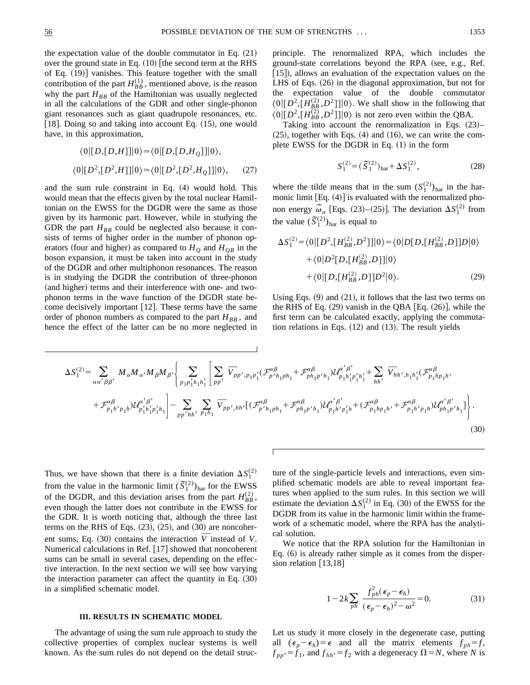the expectation value of the double commutator in Eq.  $(21)$ over the ground state in Eq.  $(10)$  the second term at the RHS of Eq.  $(19)$ ] vanishes. This feature together with the small contribution of the part  $H_{BB}^{(1)}$ , mentioned above, is the reason why the part  $H_{BB}$  of the Hamiltonian was usually neglected in all the calculations of the GDR and other single-phonon giant resonances such as giant quadrupole resonances, etc. [18]. Doing so and taking into account Eq.  $(15)$ , one would have, in this approximation,

$$
\langle 0|[D,[D,H]]|0\rangle \approx \langle 0|[D,[D,H_Q]]|0\rangle,
$$
  

$$
\langle 0|[D^2,[D^2,H]]|0\rangle \approx \langle 0|[D^2,[D^2,H_Q]]|0\rangle, \qquad (27)
$$

and the sum rule constraint in Eq.  $(4)$  would hold. This would mean that the effects given by the total nuclear Hamiltonian on the EWSS for the DGDR were the same as those given by its harmonic part. However, while in studying the GDR the part  $H_{BB}$  could be neglected also because it consists of terms of higher order in the number of phonon operators (four and higher) as compared to  $H_Q$  and  $H_{QB}$  in the boson expansion, it must be taken into account in the study of the DGDR and other multiphonon resonances. The reason is in studying the DGDR the contribution of three-phonon (and higher) terms and their interference with one- and twophonon terms in the wave function of the DGDR state become decisively important  $[12]$ . These terms have the same order of phonon numbers as compared to the part  $H_{BB}$ , and hence the effect of the latter can be no more neglected in principle. The renormalized RPA, which includes the ground-state correlations beyond the RPA (see, e.g., Ref.  $[15]$ , allows an evaluation of the expectation values on the LHS of Eqs.  $(26)$  in the diagonal approximation, but not for expectation value of the double commutator  $\langle 0|[D^2,[H^{(2)}_{BB}, D^2]]|0\rangle$ . We shall show in the following that  $\langle 0|[D^2,[H_{BB}^{(2)}, D^2]]|0\rangle$  is not zero even within the QBA.

Taking into account the renormalization in Eqs.  $(23)$ –  $(25)$ , together with Eqs.  $(4)$  and  $(16)$ , we can write the complete EWSS for the DGDR in Eq.  $(1)$  in the form

$$
S_1^{(2)} = (\tilde{S}_1^{(2)})_{\text{har}} + \Delta S_1^{(2)}, \tag{28}
$$

where the tilde means that in the sum  $(S_1^{(2)})_{\text{har}}$  in the harmonic limit  $[Eq. (4)]$  is evaluated with the renormalized phononce mint [Eq. (4)] is evaluated with the renormanced pho-<br>non energy  $\tilde{\omega}_\alpha$  [Eqs. (23)–(25)]. The deviation  $\Delta S_1^{(2)}$  from the value  $(\bar{S}_1^{(2)})_{\text{har}}$  is equal to

$$
\Delta S_1^{(2)} = \langle 0 | [D^2, [H_{BB}^{(2)}, D^2]]] | 0 \rangle = \langle 0 | D [D, [H_{BB}^{(2)}, D]]] D | 0 \rangle \n+ \langle 0 | D^2 [D, [H_{BB}^{(2)}, D]]] | 0 \rangle \n+ \langle 0 | [D, [H_{BB}^{(2)}, D]]] D^2 | 0 \rangle.
$$
\n(29)

Using Eqs.  $(9)$  and  $(21)$ , it follows that the last two terms on the RHS of Eq.  $(29)$  vanish in the QBA [Eq.  $(26)$ ], while the first term can be calculated exactly, applying the commutation relations in Eqs.  $(12)$  and  $(13)$ . The result yields

$$
\Delta S_{1}^{(2)} = \sum_{\alpha\alpha'\beta\beta'} M_{\alpha} M_{\alpha'} M_{\beta} M_{\beta'} \Bigg\{ \sum_{p_{1}p'_{1}h_{1}h'_{1}} \Bigg[ \sum_{p_{1}p'_{1}h_{1}h'_{1}} \overline{V}_{p_{1}} \overline{V}_{p_{1}} \overline{V}_{p_{1}} \overline{V}_{p_{1}} \overline{V}_{p_{1}} \overline{V}_{p_{1}} \overline{V}_{p_{1}} \overline{V}_{p_{1}} \overline{V}_{p_{1}} \overline{V}_{p_{1}} \overline{V}_{p_{1}} \overline{V}_{p_{1}} \overline{V}_{p_{1}} \overline{V}_{p_{1}} \overline{V}_{p_{1}} \overline{V}_{p_{1}} \overline{V}_{p_{1}} \overline{V}_{p_{1}} \overline{V}_{p_{1}} \overline{V}_{p_{1}} \overline{V}_{p_{1}} \overline{V}_{p_{1}} \overline{V}_{p_{1}} \overline{V}_{p_{1}} \overline{V}_{p_{1}} \overline{V}_{p_{1}} \overline{V}_{p_{1}} \overline{V}_{p_{1}} \overline{V}_{p_{1}} \overline{V}_{p_{1}} \overline{V}_{p_{1}} \overline{V}_{p_{1}} \overline{V}_{p_{1}} \overline{V}_{p_{1}} \overline{V}_{p_{1}} \overline{V}_{p_{1}} \overline{V}_{p_{1}} \overline{V}_{p_{1}} \overline{V}_{p_{1}} \overline{V}_{p_{1}} \overline{V}_{p_{1}} \overline{V}_{p_{1}} \overline{V}_{p_{1}} \overline{V}_{p_{1}} \overline{V}_{p_{1}} \overline{V}_{p_{1}} \overline{V}_{p_{1}} \overline{V}_{p_{1}} \overline{V}_{p_{1}} \overline{V}_{p_{1}} \overline{V}_{p_{1}} \overline{V}_{p_{1}} \overline{V}_{p_{1}} \overline{V}_{p_{1}} \overline{V}_{p_{1}} \overline{V}_{p_{1}} \overline{V}_{p_{1}} \overline{V}_{p_{1}} \overline{V}_{p_{1}} \overline{V}_{p_{1}} \overline{V}_{p_{1}} \overline{V}_{p_{1}} \overline{V}_{p_{1}} \overline{V}_{p_{1}} \overline{V}_{p_{1}} \overline{V}_{p_{1}} \overline{V}_{
$$

 $\overline{\phantom{a}}$ 

Thus, we have shown that there is a finite deviation  $\Delta S_1^{(2)}$ from the value in the harmonic limit  $(\bar{S}_1^{(2)})_{\text{har}}$  for the EWSS of the DGDR, and this deviation arises from the part  $H_{BB}^{(2)}$ , even though the latter does not contribute in the EWSS for the GDR. It is worth noticing that, although the three last terms on the RHS of Eqs.  $(23)$ ,  $(25)$ , and  $(30)$  are noncohererms on the KHS of Eqs. (25), (25), and (50) are nonconer-<br>ent sums, Eq. (30) contains the interaction  $\overline{V}$  instead of *V*. Numerical calculations in Ref.  $[17]$  showed that noncoherent sums can be small in several cases, depending on the effective interaction. In the next section we will see how varying the interaction parameter can affect the quantity in Eq.  $(30)$ in a simplified schematic model.

#### **III. RESULTS IN SCHEMATIC MODEL**

The advantage of using the sum rule approach to study the collective properties of complex nuclear systems is well known. As the sum rules do not depend on the detail structure of the single-particle levels and interactions, even simplified schematic models are able to reveal important features when applied to the sum rules. In this section we will estimate the deviation  $\Delta S_1^{(2)}$  in Eq. (30) of the EWSS for the DGDR from its value in the harmonic limit within the framework of a schematic model, where the RPA has the analytical solution.

We notice that the RPA solution for the Hamiltonian in Eq.  $(6)$  is already rather simple as it comes from the dispersion relation  $\lceil 13,18 \rceil$ 

$$
1 - 2k \sum_{ph} \frac{f_{ph}^2(\epsilon_p - \epsilon_h)}{(\epsilon_p - \epsilon_h)^2 - \omega^2} = 0.
$$
 (31)

Let us study it more closely in the degenerate case, putting all  $(\epsilon_p - \epsilon_h) = \epsilon$  and all the matrix elements  $f_{ph} = f$ ,  $f_{pp'}=f_1$ , and  $f_{hh'}=f_2$  with a degeneracy  $\Omega = N$ , where *N* is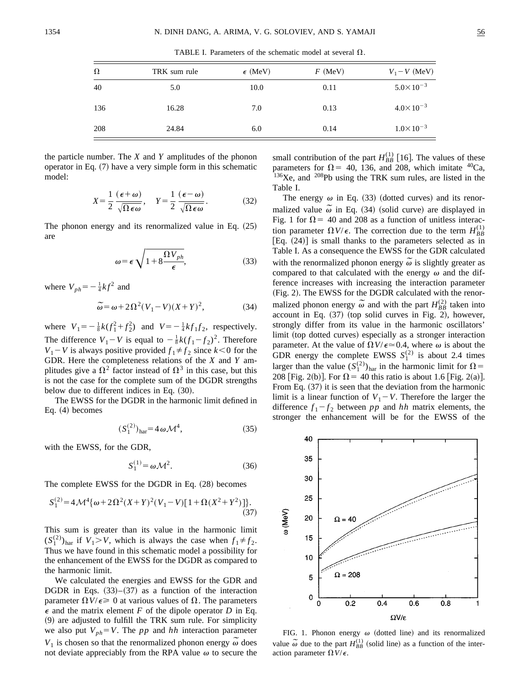| Ω   | TRK sum rule | $\epsilon$ (MeV) | $F$ (MeV) | $V_1 - V$ (MeV)      |
|-----|--------------|------------------|-----------|----------------------|
| 40  | 5.0          | 10.0             | 0.11      | $5.0 \times 10^{-3}$ |
| 136 | 16.28        | 7.0              | 0.13      | $4.0 \times 10^{-3}$ |
| 208 | 24.84        | 6.0              | 0.14      | $1.0 \times 10^{-3}$ |

TABLE I. Parameters of the schematic model at several  $\Omega$ .

the particle number. The *X* and *Y* amplitudes of the phonon operator in Eq.  $(7)$  have a very simple form in this schematic model:

$$
X = \frac{1}{2} \frac{(\epsilon + \omega)}{\sqrt{\Omega \epsilon \omega}}, \quad Y = \frac{1}{2} \frac{(\epsilon - \omega)}{\sqrt{\Omega \epsilon \omega}}.
$$
 (32)

The phonon energy and its renormalized value in Eq.  $(25)$ are

$$
\omega = \epsilon \sqrt{1 + 8 \frac{\Omega V_{ph}}{\epsilon}},\tag{33}
$$

where  $V_{ph} = -\frac{1}{4}kf^2$  and

$$
\widetilde{\omega} = \omega + 2\Omega^2 (V_1 - V)(X + Y)^2, \tag{34}
$$

where  $V_1 = -\frac{1}{8}k(f_1^2 + f_2^2)$  and  $V = -\frac{1}{4}kf_1f_2$ , respectively. The difference  $V_1 - V$  is equal to  $-\frac{1}{8}k(f_1 - f_2)^2$ . Therefore  $V_1$ <sup>*V*</sup> is always positive provided  $f_1 \neq f_2$  since  $k$  < 0 for the GDR. Here the completeness relations of the *X* and *Y* amplitudes give a  $\Omega^2$  factor instead of  $\Omega^3$  in this case, but this is not the case for the complete sum of the DGDR strengths below due to different indices in Eq.  $(30)$ .

The EWSS for the DGDR in the harmonic limit defined in Eq.  $(4)$  becomes

$$
(S_1^{(2)})har = 4 \omega \mathcal{M}^4,
$$
 (35)

with the EWSS, for the GDR,

$$
S_1^{(1)} = \omega \mathcal{M}^2. \tag{36}
$$

The complete EWSS for the DGDR in Eq.  $(28)$  becomes

$$
S_1^{(2)} = 4\mathcal{M}^4 \{ \omega + 2\Omega^2 (X+Y)^2 (V_1 - V) [1 + \Omega (X^2 + Y^2)] \}.
$$
\n(37)

This sum is greater than its value in the harmonic limit  $(S_1^{(2)})_{\text{har}}$  if  $V_1 > V$ , which is always the case when  $f_1 \neq f_2$ . Thus we have found in this schematic model a possibility for the enhancement of the EWSS for the DGDR as compared to the harmonic limit.

We calculated the energies and EWSS for the GDR and DGDR in Eqs.  $(33)$ – $(37)$  as a function of the interaction parameter  $\Omega V/\epsilon \geq 0$  at various values of  $\Omega$ . The parameters  $\epsilon$  and the matrix element *F* of the dipole operator *D* in Eq.  $(9)$  are adjusted to fulfill the TRK sum rule. For simplicity we also put  $V_{ph} = V$ . The *pp* and *hh* interaction parameter *V*<sub>1</sub> is chosen so that the renormalized phonon energy  $\tilde{\omega}$  does not deviate appreciably from the RPA value  $\omega$  to secure the

small contribution of the part  $H_{BB}^{(1)}$  [16]. The values of these parameters for  $\Omega = 40$ , 136, and 208, which imitate <sup>40</sup>Ca,  $136Xe$ , and  $208Pb$  using the TRK sum rules, are listed in the Table I.

The energy  $\omega$  in Eq. (33) (dotted curves) and its renormalized value  $\tilde{\omega}$  in Eq. (34) (solid curve) are displayed in Fig. 1 for  $\Omega = 40$  and 208 as a function of unitless interaction parameter  $\Omega V/\epsilon$ . The correction due to the term  $H_{BB}^{(1)}$  $[Eq. (24)]$  is small thanks to the parameters selected as in Table I. As a consequence the EWSS for the GDR calculated with the renormalized phonon energy  $\tilde{\omega}$  is slightly greater as compared to that calculated with the energy  $\omega$  and the difference increases with increasing the interaction parameter (Fig. 2). The EWSS for the DGDR calculated with the renormalized phonon energy  $\tilde{\omega}$  and with the part  $H_{BB}^{(2)}$  taken into account in Eq.  $(37)$  (top solid curves in Fig. 2), however, strongly differ from its value in the harmonic oscillators' limit (top dotted curves) especially as a stronger interaction parameter. At the value of  $\Omega V/\epsilon \approx 0.4$ , where  $\omega$  is about the GDR energy the complete EWSS  $S_1^{(2)}$  is about 2.4 times larger than the value  $(S_1^{(2)})_{\text{har}}$  in the harmonic limit for  $\Omega =$ 208 [Fig. 2(b)]. For  $\Omega = 40$  this ratio is about 1.6 [Fig. 2(a)]. From Eq.  $(37)$  it is seen that the deviation from the harmonic limit is a linear function of  $V_1 - V$ . Therefore the larger the difference  $f_1 - f_2$  between *pp* and *hh* matrix elements, the stronger the enhancement will be for the EWSS of the



FIG. 1. Phonon energy  $\omega$  (dotted line) and its renormalized value  $\tilde{\omega}$  due to the part  $H_{BB}^{(1)}$  (solid line) as a function of the interaction parameter  $\Omega V/\epsilon$ .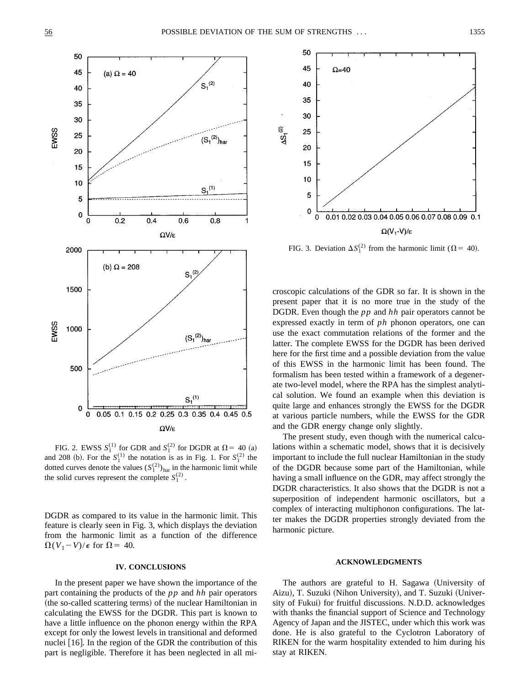

FIG. 2. EWSS  $S_1^{(1)}$  for GDR and  $S_1^{(2)}$  for DGDR at  $\Omega = 40$  (a) and 208 (b). For the  $S_1^{(1)}$  the notation is as in Fig. 1. For  $S_1^{(2)}$  the dotted curves denote the values  $(S_1^{(2)})_{\text{har}}$  in the harmonic limit while the solid curves represent the complete  $S_1^{(2)}$ .

DGDR as compared to its value in the harmonic limit. This feature is clearly seen in Fig. 3, which displays the deviation from the harmonic limit as a function of the difference  $\Omega(V_1 - V)/\epsilon$  for  $\Omega = 40$ .

#### **IV. CONCLUSIONS**

In the present paper we have shown the importance of the part containing the products of the *pp* and *hh* pair operators (the so-called scattering terms) of the nuclear Hamiltonian in calculating the EWSS for the DGDR. This part is known to have a little influence on the phonon energy within the RPA except for only the lowest levels in transitional and deformed nuclei  $[16]$ . In the region of the GDR the contribution of this part is negligible. Therefore it has been neglected in all mi-



FIG. 3. Deviation  $\Delta S_1^{(2)}$  from the harmonic limit ( $\Omega = 40$ ).

croscopic calculations of the GDR so far. It is shown in the present paper that it is no more true in the study of the DGDR. Even though the *pp* and *hh* pair operators cannot be expressed exactly in term of *ph* phonon operators, one can use the exact commutation relations of the former and the latter. The complete EWSS for the DGDR has been derived here for the first time and a possible deviation from the value of this EWSS in the harmonic limit has been found. The formalism has been tested within a framework of a degenerate two-level model, where the RPA has the simplest analytical solution. We found an example when this deviation is quite large and enhances strongly the EWSS for the DGDR at various particle numbers, while the EWSS for the GDR and the GDR energy change only slightly.

The present study, even though with the numerical calculations within a schematic model, shows that it is decisively important to include the full nuclear Hamiltonian in the study of the DGDR because some part of the Hamiltonian, while having a small influence on the GDR, may affect strongly the DGDR characteristics. It also shows that the DGDR is not a superposition of independent harmonic oscillators, but a complex of interacting multiphonon configurations. The latter makes the DGDR properties strongly deviated from the harmonic picture.

### **ACKNOWLEDGMENTS**

The authors are grateful to H. Sagawa (University of Aizu), T. Suzuki (Nihon University), and T. Suzuki (University of Fukui) for fruitful discussions. N.D.D. acknowledges with thanks the financial support of Science and Technology Agency of Japan and the JISTEC, under which this work was done. He is also grateful to the Cyclotron Laboratory of RIKEN for the warm hospitality extended to him during his stay at RIKEN.